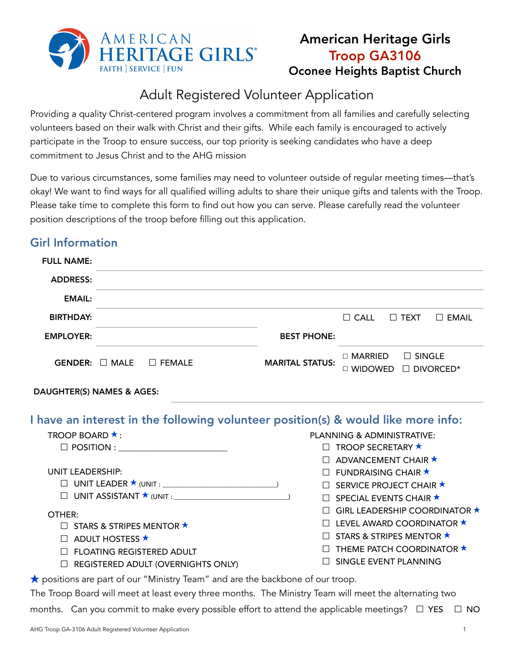

# American Heritage Girls Troop GA3106 Oconee Heights Baptist Church

# Adult Registered Volunteer Application

Providing a quality Christ-centered program involves a commitment from all families and carefully selecting volunteers based on their walk with Christ and their gifts. While each family is encouraged to actively participate in the Troop to ensure success, our top priority is seeking candidates who have a deep commitment to Jesus Christ and to the AHG mission

Due to various circumstances, some families may need to volunteer outside of regular meeting times––that's okay! We want to find ways for all qualified willing adults to share their unique gifts and talents with the Troop. Please take time to complete this form to find out how you can serve. Please carefully read the volunteer position descriptions of the troop before filling out this application.

# Girl Information

| <b>FULL NAME:</b> |                     |               |                        |                          |                                           |              |
|-------------------|---------------------|---------------|------------------------|--------------------------|-------------------------------------------|--------------|
| <b>ADDRESS:</b>   |                     |               |                        |                          |                                           |              |
| <b>EMAIL:</b>     |                     |               |                        |                          |                                           |              |
| <b>BIRTHDAY:</b>  |                     |               |                        | $\Box$ CALL              | $\Box$ TEXT                               | $\Box$ EMAIL |
| <b>EMPLOYER:</b>  |                     |               | <b>BEST PHONE:</b>     |                          |                                           |              |
|                   | GENDER: $\Box$ MALE | $\Box$ FEMALE | <b>MARITAL STATUS:</b> | $\Box$ MARRIED<br>$\Box$ | $\Box$ SINGLE<br>WIDOWED <b>DIVORCED*</b> |              |

### DAUGHTER(S) NAMES & AGES:

I have an interest in the following volunteer position(s) & would like more info:

| <b>TROOP BOARD ★ :</b>                    | PLANNING & ADMINISTRATIVE:                 |
|-------------------------------------------|--------------------------------------------|
| $\Box$ POSITION :                         | $\Box$ TROOP SECRETARY $\star$             |
|                                           | $\Box$ ADVANCEMENT CHAIR $\star$           |
| UNIT LEADERSHIP:                          | $\Box$ FUNDRAISING CHAIR $\star$           |
|                                           | $\Box$ SERVICE PROJECT CHAIR $\star$       |
| $\Box$ UNIT ASSISTANT $\star$ (UNIT :     | $\Box$ SPECIAL EVENTS CHAIR $\star$        |
| OTHER:                                    | $\Box$ GIRL LEADERSHIP COORDINATOR $\star$ |
| $\Box$ STARS & STRIPES MENTOR $\star$     | $\Box$ LEVEL AWARD COORDINATOR $\star$     |
| $\Box$ ADULT HOSTESS $\star$              | $\Box$ STARS & STRIPES MENTOR $\star$      |
| $\Box$ FLOATING REGISTERED ADULT          | $\Box$ THEME PATCH COORDINATOR $\star$     |
| $\Box$ REGISTERED ADULT (OVERNIGHTS ONLY) | SINGLE EVENT PLANNING                      |
|                                           |                                            |

★ positions are part of our "Ministry Team" and are the backbone of our troop.

The Troop Board will meet at least every three months. The Ministry Team will meet the alternating two

months. Can you commit to make every possible effort to attend the applicable meetings?  $\Box$  YES  $\Box$  NO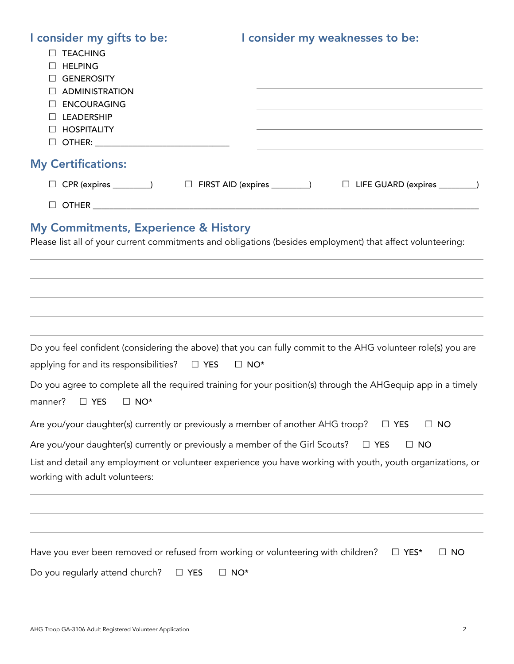| I consider my gifts to be:<br><b>D</b> TEACHING<br><b>HELPING</b><br>$\perp$<br><b>GENEROSITY</b><br>$\Box$<br><b>ADMINISTRATION</b><br><b>ENCOURAGING</b><br><b>LEADERSHIP</b><br><b>HOSPITALITY</b><br>$\Box$ | I consider my weaknesses to be:                                                                              |  |  |  |  |  |  |
|-----------------------------------------------------------------------------------------------------------------------------------------------------------------------------------------------------------------|--------------------------------------------------------------------------------------------------------------|--|--|--|--|--|--|
| <b>My Certifications:</b>                                                                                                                                                                                       |                                                                                                              |  |  |  |  |  |  |
| □ CPR (expires _________)    □ FIRST AID (expires _________)    □ LIFE GUARD (expires _________)                                                                                                                |                                                                                                              |  |  |  |  |  |  |
|                                                                                                                                                                                                                 |                                                                                                              |  |  |  |  |  |  |
| <b>My Commitments, Experience &amp; History</b>                                                                                                                                                                 | Please list all of your current commitments and obligations (besides employment) that affect volunteering:   |  |  |  |  |  |  |
|                                                                                                                                                                                                                 |                                                                                                              |  |  |  |  |  |  |
| applying for and its responsibilities? $\Box$ YES $\Box$ NO*                                                                                                                                                    | Do you feel confident (considering the above) that you can fully commit to the AHG volunteer role(s) you are |  |  |  |  |  |  |
| manner? $\Box$ YES $\Box$ NO*                                                                                                                                                                                   | Do you agree to complete all the required training for your position(s) through the AHGequip app in a timely |  |  |  |  |  |  |
| Are you/your daughter(s) currently or previously a member of another AHG troop?                                                                                                                                 | $\Box$ YES<br>$\Box$ NO                                                                                      |  |  |  |  |  |  |
| Are you/your daughter(s) currently or previously a member of the Girl Scouts?<br>$\Box$ YES<br>$\Box$ NO                                                                                                        |                                                                                                              |  |  |  |  |  |  |
| List and detail any employment or volunteer experience you have working with youth, youth organizations, or<br>working with adult volunteers:                                                                   |                                                                                                              |  |  |  |  |  |  |
|                                                                                                                                                                                                                 |                                                                                                              |  |  |  |  |  |  |
| Have you ever been removed or refused from working or volunteering with children?                                                                                                                               | $\Box$ YES*<br>$\Box$ No                                                                                     |  |  |  |  |  |  |
| Do you regularly attend church?<br>$\Box$ NO*<br>$\Box$ YES                                                                                                                                                     |                                                                                                              |  |  |  |  |  |  |